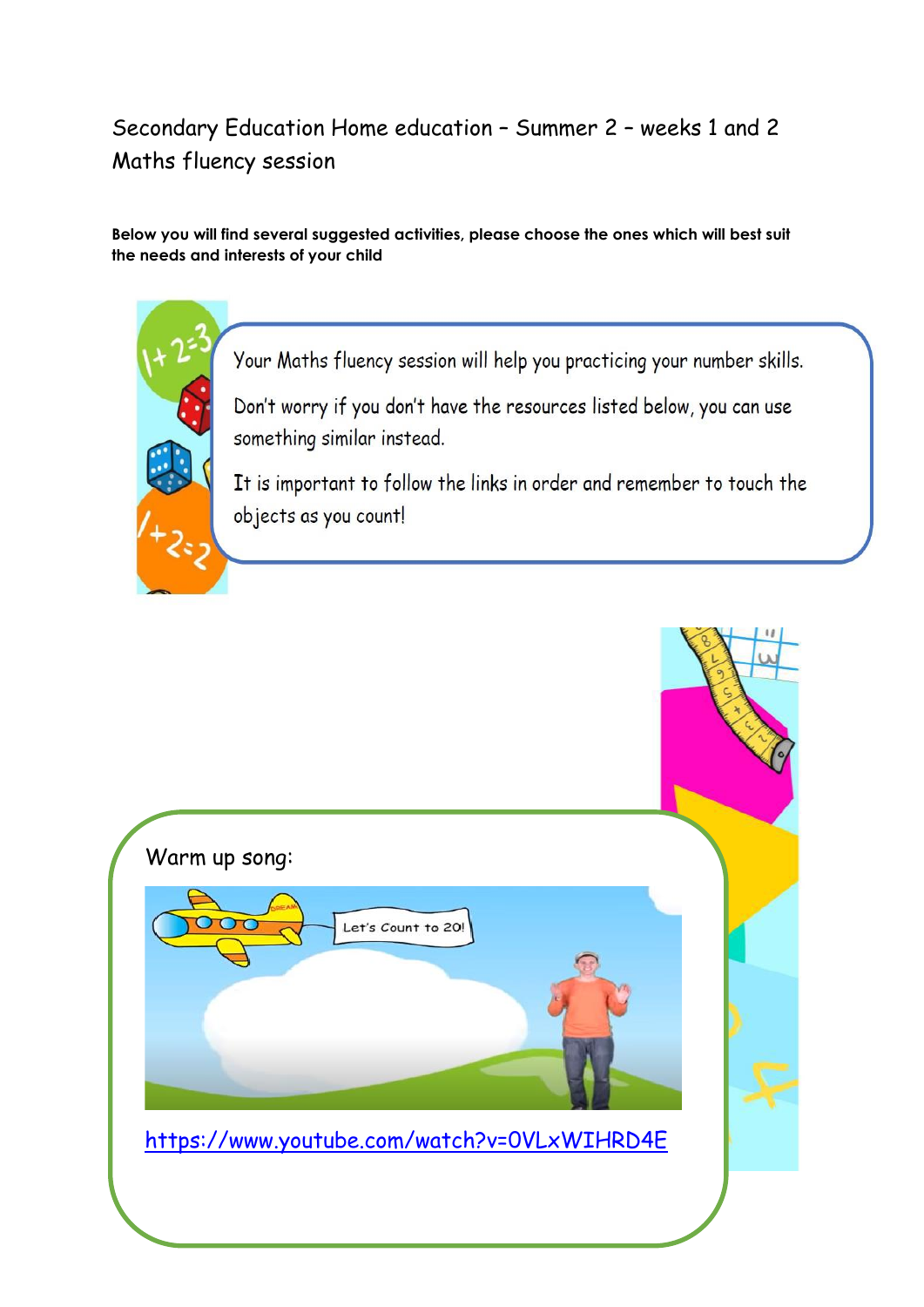#### Secondary Education Home education – Summer 2 – weeks 1 and 2 Maths fluency session

#### **Below you will find several suggested activities, please choose the ones which will best suit the needs and interests of your child**



Your Maths fluency session will help you practicing your number skills.

Don't worry if you don't have the resources listed below, you can use something similar instead.

It is important to follow the links in order and remember to touch the objects as you count!

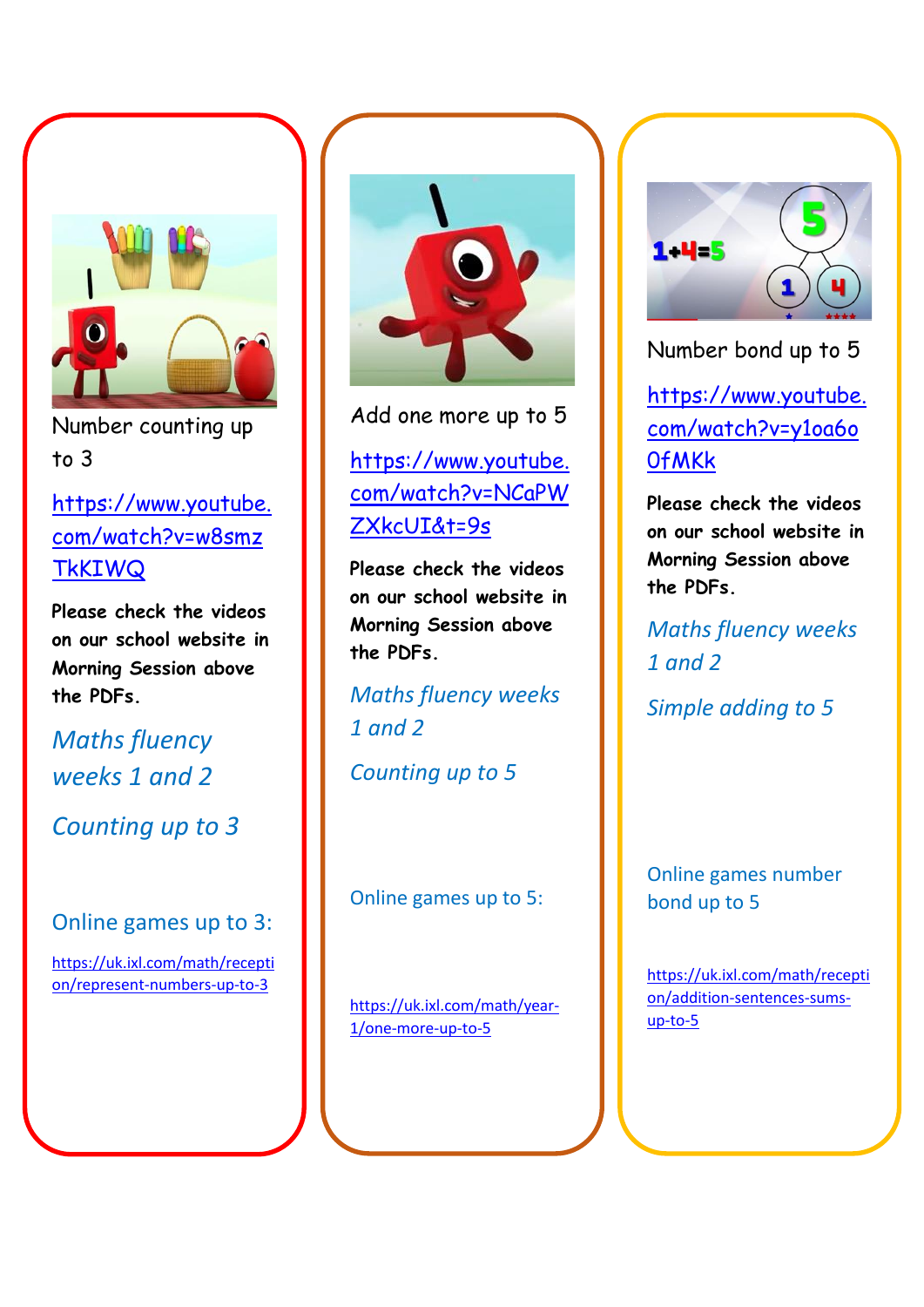

Number counting up to 3

[https://www.youtube.](https://www.youtube.com/watch?v=w8smzTkKIWQ) [com/watch?v=w8smz](https://www.youtube.com/watch?v=w8smzTkKIWQ) **TKKIWQ** 

**Please check the videos on our school website in Morning Session above the PDFs.** 

*Maths fluency weeks 1 and 2*

*Counting up to 3*

#### Online games up to 3:

[https://uk.ixl.com/math/recepti](https://uk.ixl.com/math/reception/represent-numbers-up-to-3) [on/represent-numbers-up-to-3](https://uk.ixl.com/math/reception/represent-numbers-up-to-3)



Add one more up to 5

#### [https://www.youtube.](https://www.youtube.com/watch?v=NCaPWZXkcUI&t=9s) [com/watch?v=NCaPW](https://www.youtube.com/watch?v=NCaPWZXkcUI&t=9s) [ZXkcUI&t=9s](https://www.youtube.com/watch?v=NCaPWZXkcUI&t=9s)

**Please check the videos on our school website in Morning Session above the PDFs.** 

*Maths fluency weeks 1 and 2*

*Counting up to 5*

Online games up to 5:

[https://uk.ixl.com/math/year-](https://uk.ixl.com/math/year-1/one-more-up-to-5)[1/one-more-up-to-5](https://uk.ixl.com/math/year-1/one-more-up-to-5)



Number bond up to 5

[https://www.youtube.](https://www.youtube.com/watch?v=y1oa6o0fMKk) [com/watch?v=y1oa6o](https://www.youtube.com/watch?v=y1oa6o0fMKk) **Of MKK** 

**Please check the videos on our school website in Morning Session above the PDFs.** 

*Maths fluency weeks 1 and 2*

*Simple adding to 5*

Online games number bond up to 5

[https://uk.ixl.com/math/recepti](https://uk.ixl.com/math/reception/addition-sentences-sums-up-to-5) [on/addition-sentences-sums](https://uk.ixl.com/math/reception/addition-sentences-sums-up-to-5)[up-to-5](https://uk.ixl.com/math/reception/addition-sentences-sums-up-to-5)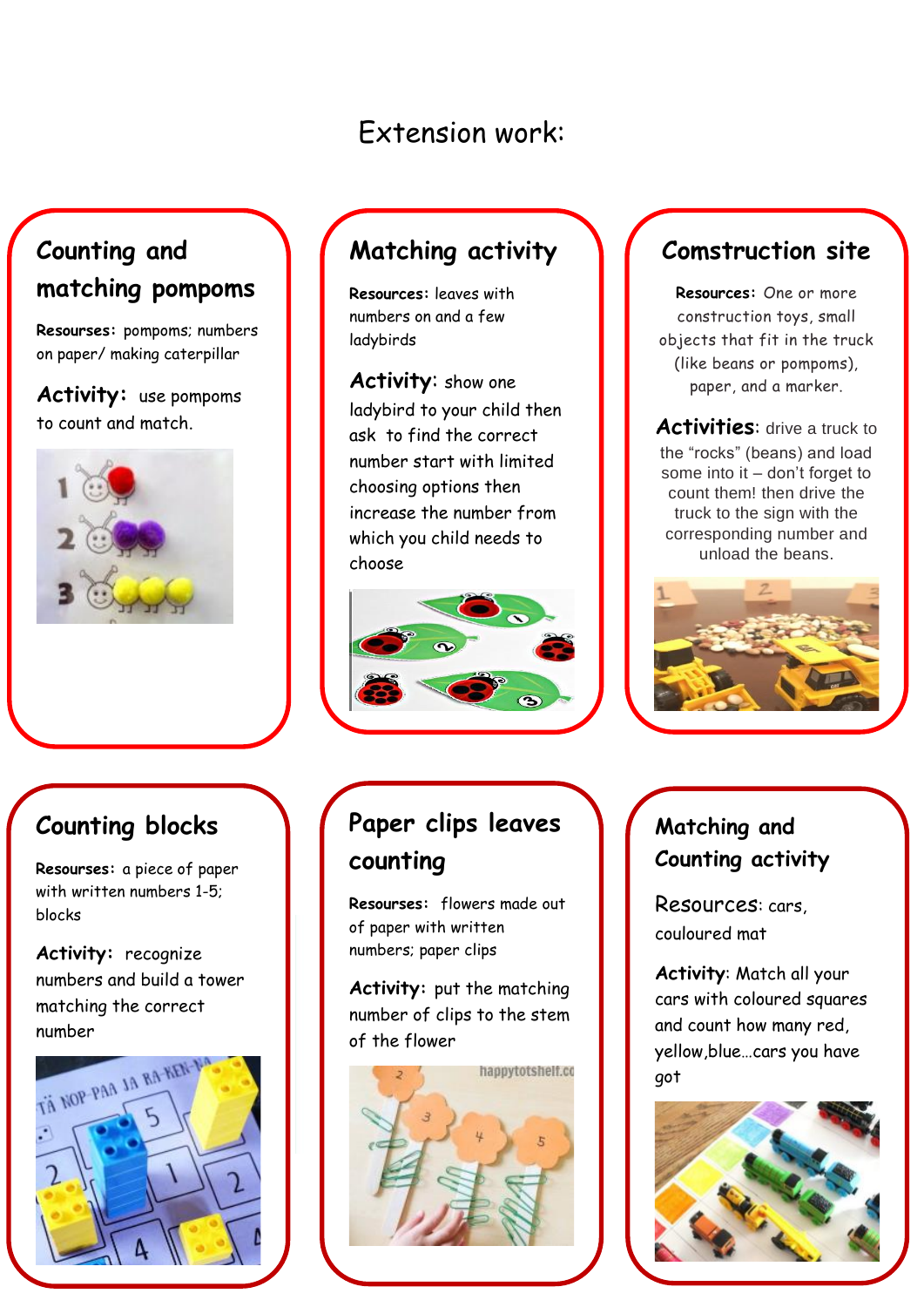# Extension work:

# **Counting and matching pompoms**

**Resourses:** pompoms; numbers on paper/ making caterpillar

**Activity:** use pompoms to count and match.



## **Matching activity**

**Resources:** leaves with numbers on and a few ladybirds

**Activity**: show one ladybird to your child then ask to find the correct number start with limited choosing options then increase the number from which you child needs to choose

#### **Comstruction site**

**Resources:** One or more construction toys, small objects that fit in the truck (like beans or pompoms), paper, and a marker.

**Activities**: drive a truck to the "rocks" (beans) and load some into it – don't forget to count them! then drive the truck to the sign with the corresponding number and unload the beans.



#### **Counting blocks**

 with written numbers 1-5; **Resourses:** a piece of paper blocks

**Activity:** recognize numbers and build a tower matching the correct number



# **Paper clips leaves counting**

**Resourses:** flowers made out of paper with written numbers; paper clips

**Activity:** put the matching number of clips to the stem of the flower



#### **Matching and Counting activity**

Resources: cars, couloured mat

**Activity**: Match all your cars with coloured squares and count how many red, yellow,blue…cars you have got

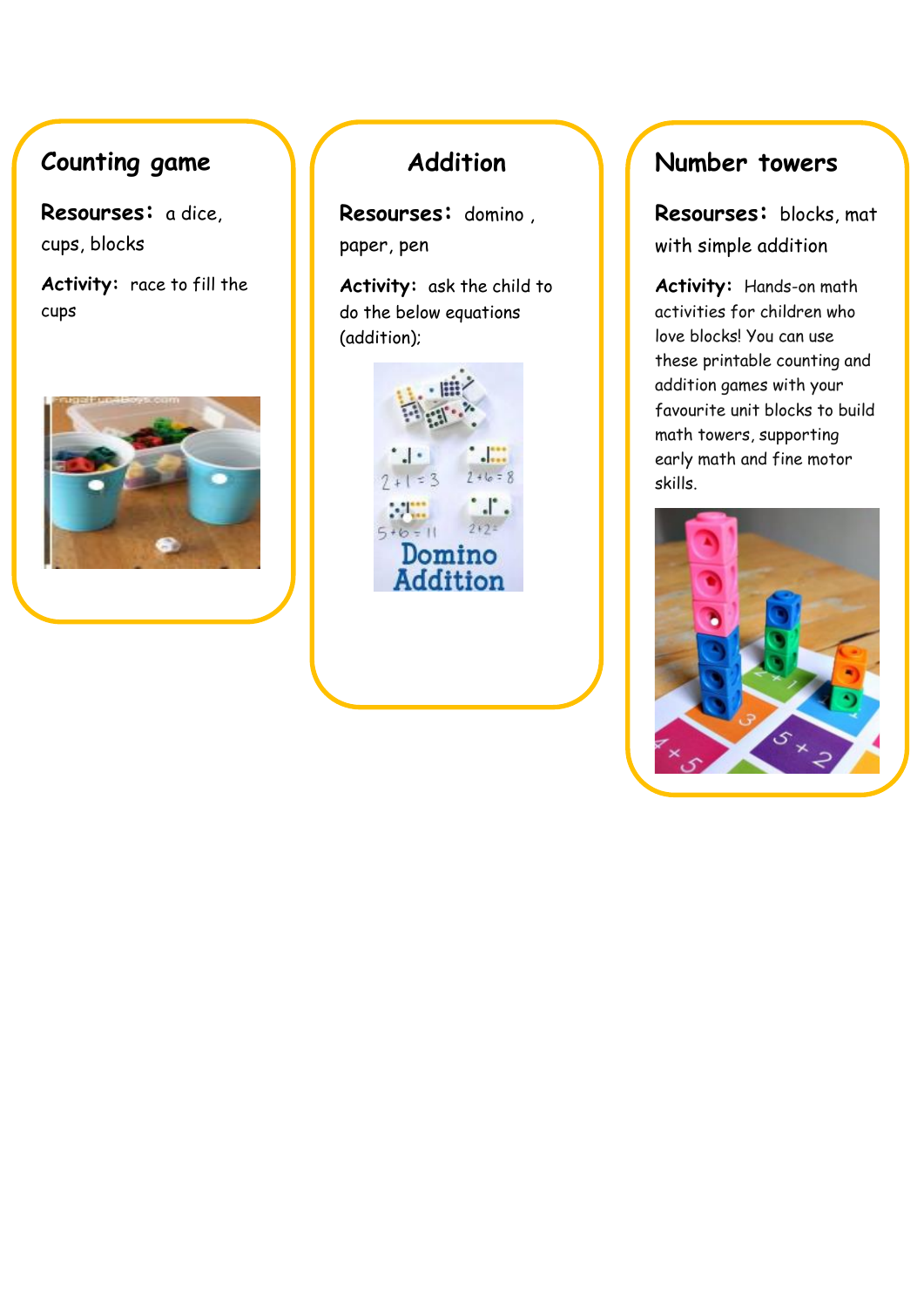### **Counting game**

 **Resourses:** a dice, cups, blocks

**Activity:** race to fill the cups



## **Addition**

**Resourses:** domino , paper, pen

**Activity:** ask the child to do the below equations (addition);



#### **Number towers**

**Resourses:** blocks, mat with simple addition

**Activity:** Hands-on math activities for children who love blocks! You can use these printable counting and addition games with your favourite unit blocks to build math towers, supporting early math and fine motor skills.

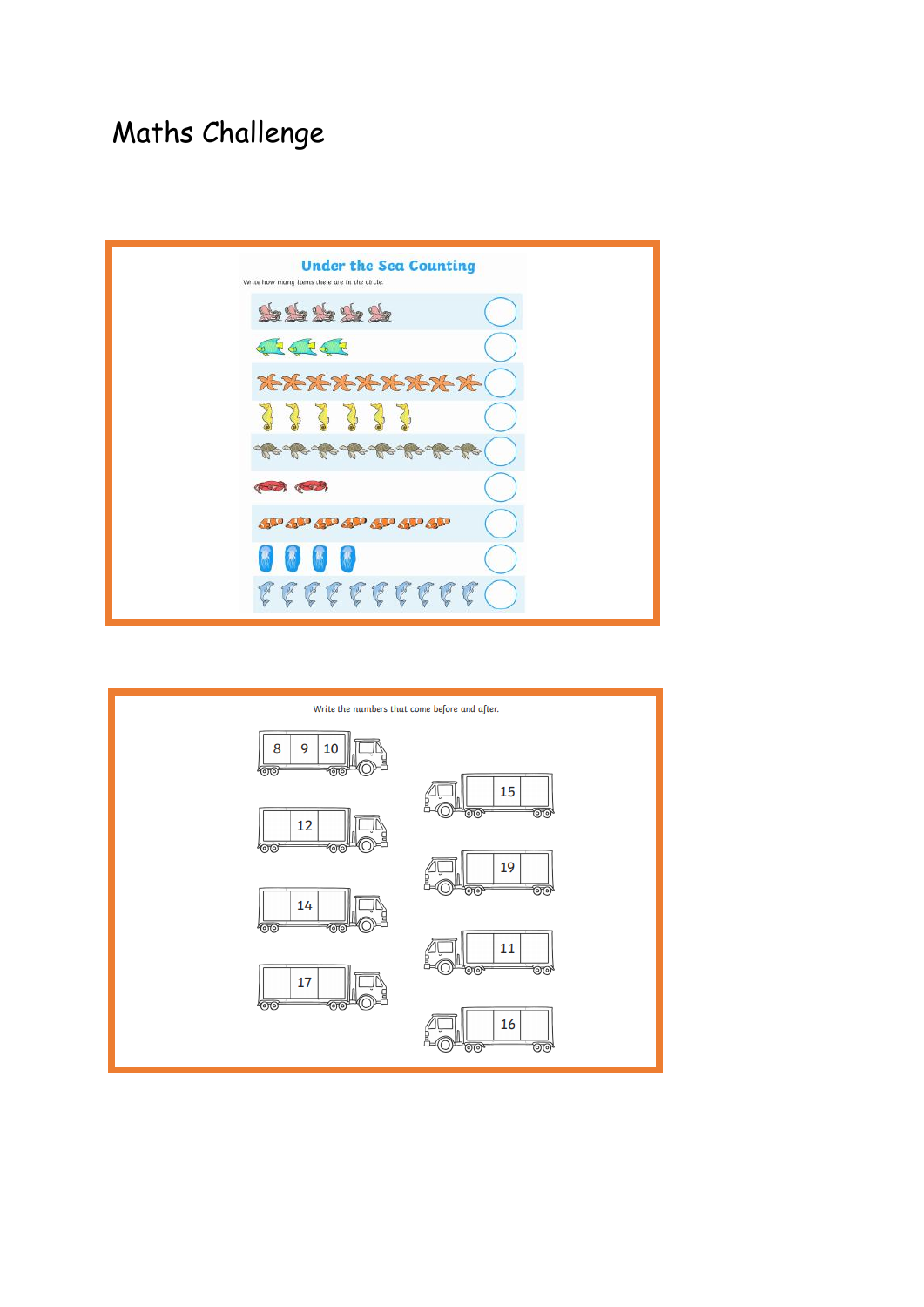# Maths Challenge